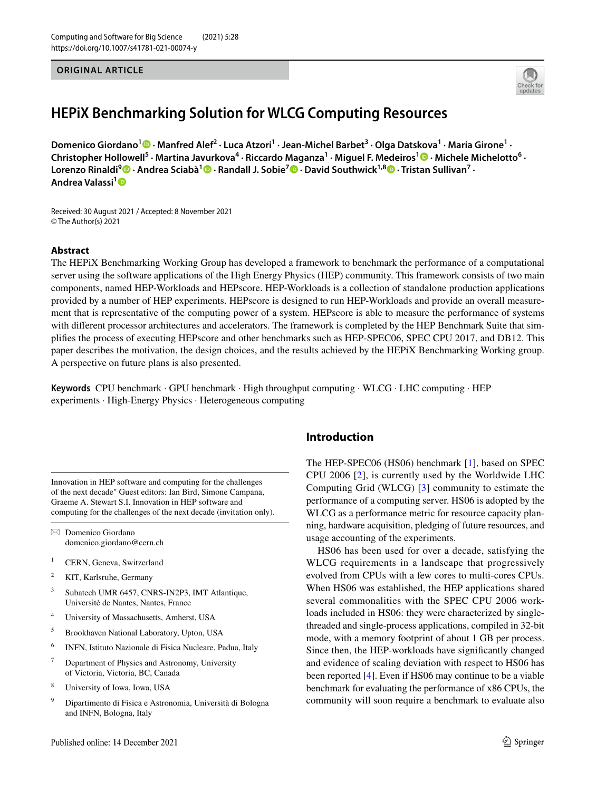#### **ORIGINAL ARTICLE**



# **HEPiX Benchmarking Solution for WLCG Computing Resources**

Domenico Giordano<sup>1</sup> <sup>D</sup> [·](http://orcid.org/0000-0002-9789-3188) Manfred Alef<sup>2</sup> · Luca Atzori<sup>1</sup> · Jean-Michel Barbet<sup>3</sup> · Olga Datskova<sup>1</sup> · Maria Girone<sup>1</sup> · ChristopherHollowell<sup>5</sup> · Martina Javurkova<sup>4</sup> · Riccardo Maganza<sup>1</sup> · Miguel F. Medeiros<sup>1</sup> <sup>®</sup> · Michele Michelotto<sup>6</sup> · **Lorenzo Rinaldi9  [·](http://orcid.org/0000-0001-9608-9940) Andrea Sciabà[1](http://orcid.org/0000-0002-4371-1430) · Randall J. Sobie7  [·](http://orcid.org/0000-0001-7430-7599) David Southwick1,8  [·](http://orcid.org/0000-0003-4229-7191) Tristan Sullivan7 · Andrea Valassi[1](http://orcid.org/0000-0001-9322-9565)**

Received: 30 August 2021 / Accepted: 8 November 2021 © The Author(s) 2021

#### **Abstract**

The HEPiX Benchmarking Working Group has developed a framework to benchmark the performance of a computational server using the software applications of the High Energy Physics (HEP) community. This framework consists of two main components, named HEP-Workloads and HEPscore. HEP-Workloads is a collection of standalone production applications provided by a number of HEP experiments. HEPscore is designed to run HEP-Workloads and provide an overall measurement that is representative of the computing power of a system. HEPscore is able to measure the performance of systems with different processor architectures and accelerators. The framework is completed by the HEP Benchmark Suite that simplifes the process of executing HEPscore and other benchmarks such as HEP-SPEC06, SPEC CPU 2017, and DB12. This paper describes the motivation, the design choices, and the results achieved by the HEPiX Benchmarking Working group. A perspective on future plans is also presented.

**Keywords** CPU benchmark · GPU benchmark · High throughput computing · WLCG · LHC computing · HEP experiments · High-Energy Physics · Heterogeneous computing

Innovation in HEP software and computing for the challenges of the next decade" Guest editors: Ian Bird, Simone Campana, Graeme A. Stewart S.I. Innovation in HEP software and computing for the challenges of the next decade (invitation only).

 $\boxtimes$  Domenico Giordano domenico.giordano@cern.ch

- <sup>1</sup> CERN, Geneva, Switzerland
- <sup>2</sup> KIT, Karlsruhe, Germany
- <sup>3</sup> Subatech UMR 6457, CNRS-IN2P3, IMT Atlantique, Université de Nantes, Nantes, France
- <sup>4</sup> University of Massachusetts, Amherst, USA
- <sup>5</sup> Brookhaven National Laboratory, Upton, USA
- <sup>6</sup> INFN, Istituto Nazionale di Fisica Nucleare, Padua, Italy
- <sup>7</sup> Department of Physics and Astronomy, University of Victoria, Victoria, BC, Canada
- <sup>8</sup> University of Iowa, Iowa, USA
- <sup>9</sup> Dipartimento di Fisica e Astronomia, Università di Bologna and INFN, Bologna, Italy

#### **Introduction**

The HEP-SPEC06 (HS06) benchmark [[1\]](#page-9-0), based on SPEC CPU 2006 [[2](#page-9-1)], is currently used by the Worldwide LHC Computing Grid (WLCG) [\[3](#page-9-2)] community to estimate the performance of a computing server. HS06 is adopted by the WLCG as a performance metric for resource capacity planning, hardware acquisition, pledging of future resources, and usage accounting of the experiments.

HS06 has been used for over a decade, satisfying the WLCG requirements in a landscape that progressively evolved from CPUs with a few cores to multi-cores CPUs. When HS06 was established, the HEP applications shared several commonalities with the SPEC CPU 2006 workloads included in HS06: they were characterized by singlethreaded and single-process applications, compiled in 32-bit mode, with a memory footprint of about 1 GB per process. Since then, the HEP-workloads have signifcantly changed and evidence of scaling deviation with respect to HS06 has been reported [\[4](#page-10-0)]. Even if HS06 may continue to be a viable benchmark for evaluating the performance of x86 CPUs, the community will soon require a benchmark to evaluate also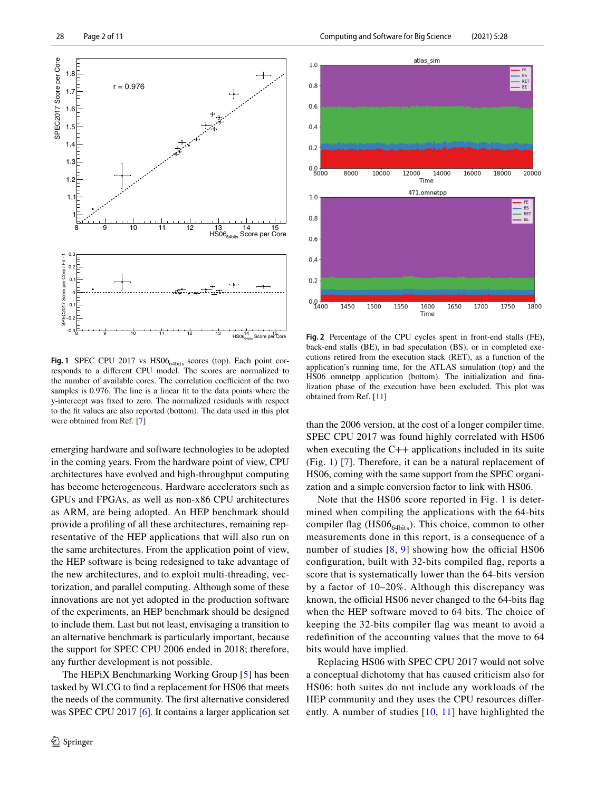

<span id="page-1-0"></span>**Fig. 1** SPEC CPU 2017 vs HS06<sub>64bits</sub> scores (top). Each point corresponds to a diferent CPU model. The scores are normalized to the number of available cores. The correlation coefficient of the two samples is 0.976. The line is a linear ft to the data points where the y-intercept was fxed to zero. The normalized residuals with respect to the ft values are also reported (bottom). The data used in this plot were obtained from Ref. [[7](#page-10-3)]

emerging hardware and software technologies to be adopted in the coming years. From the hardware point of view, CPU architectures have evolved and high-throughput computing has become heterogeneous. Hardware accelerators such as GPUs and FPGAs, as well as non-x86 CPU architectures as ARM, are being adopted. An HEP benchmark should provide a profling of all these architectures, remaining representative of the HEP applications that will also run on the same architectures. From the application point of view, the HEP software is being redesigned to take advantage of the new architectures, and to exploit multi-threading, vectorization, and parallel computing. Although some of these innovations are not yet adopted in the production software of the experiments, an HEP benchmark should be designed to include them. Last but not least, envisaging a transition to an alternative benchmark is particularly important, because the support for SPEC CPU 2006 ended in 2018; therefore, any further development is not possible.

The HEPiX Benchmarking Working Group [\[5](#page-10-1)] has been tasked by WLCG to fnd a replacement for HS06 that meets the needs of the community. The frst alternative considered was SPEC CPU 2017 [\[6](#page-10-2)]. It contains a larger application set



<span id="page-1-1"></span>**Fig. 2** Percentage of the CPU cycles spent in front-end stalls (FE), back-end stalls (BE), in bad speculation (BS), or in completed executions retired from the execution stack (RET), as a function of the application's running time, for the ATLAS simulation (top) and the HS06 omnetpp application (bottom). The initialization and fnalization phase of the execution have been excluded. This plot was obtained from Ref. [\[11\]](#page-10-7)

than the 2006 version, at the cost of a longer compiler time. SPEC CPU 2017 was found highly correlated with HS06 when executing the C++ applications included in its suite (Fig. [1](#page-1-0)) [[7](#page-10-3)]. Therefore, it can be a natural replacement of HS06, coming with the same support from the SPEC organization and a simple conversion factor to link with HS06.

Note that the HS06 score reported in Fig. [1](#page-1-0) is determined when compiling the applications with the 64-bits compiler flag (HS06 $_{64\text{bits}}$ ). This choice, common to other measurements done in this report, is a consequence of a number of studies  $[8, 9]$  $[8, 9]$  $[8, 9]$  $[8, 9]$  showing how the official HS06 confguration, built with 32-bits compiled fag, reports a score that is systematically lower than the 64-bits version by a factor of 10–20%. Although this discrepancy was known, the official HS06 never changed to the 64-bits flag when the HEP software moved to 64 bits. The choice of keeping the 32-bits compiler fag was meant to avoid a redefnition of the accounting values that the move to 64 bits would have implied.

Replacing HS06 with SPEC CPU 2017 would not solve a conceptual dichotomy that has caused criticism also for HS06: both suites do not include any workloads of the HEP community and they uses the CPU resources diferently. A number of studies [[10](#page-10-6), [11\]](#page-10-7) have highlighted the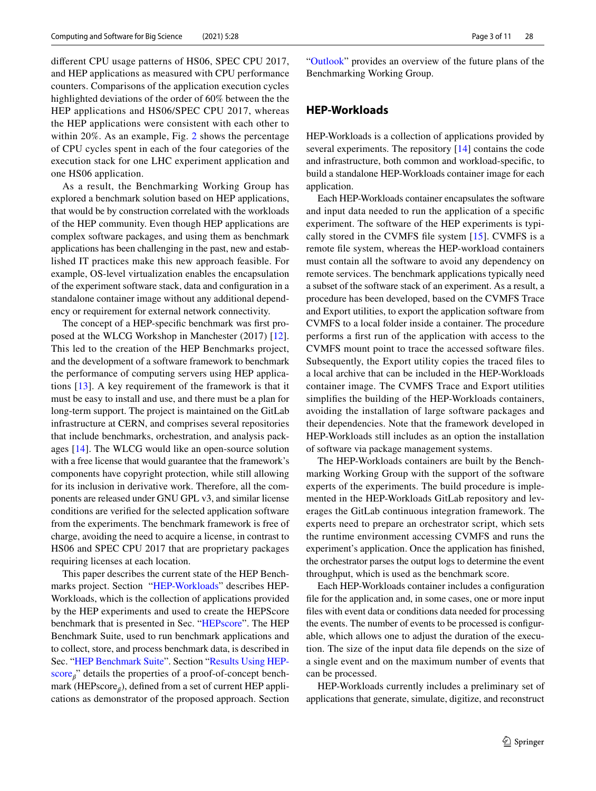diferent CPU usage patterns of HS06, SPEC CPU 2017, and HEP applications as measured with CPU performance counters. Comparisons of the application execution cycles highlighted deviations of the order of 60% between the the HEP applications and HS06/SPEC CPU 2017, whereas the HEP applications were consistent with each other to within 20%. As an example, Fig. [2](#page-1-1) shows the percentage of CPU cycles spent in each of the four categories of the execution stack for one LHC experiment application and one HS06 application.

As a result, the Benchmarking Working Group has explored a benchmark solution based on HEP applications, that would be by construction correlated with the workloads of the HEP community. Even though HEP applications are complex software packages, and using them as benchmark applications has been challenging in the past, new and established IT practices make this new approach feasible. For example, OS-level virtualization enables the encapsulation of the experiment software stack, data and confguration in a standalone container image without any additional dependency or requirement for external network connectivity.

The concept of a HEP-specifc benchmark was frst proposed at the WLCG Workshop in Manchester (2017) [\[12](#page-10-8)]. This led to the creation of the HEP Benchmarks project, and the development of a software framework to benchmark the performance of computing servers using HEP applications [[13](#page-10-9)]. A key requirement of the framework is that it must be easy to install and use, and there must be a plan for long-term support. The project is maintained on the GitLab infrastructure at CERN, and comprises several repositories that include benchmarks, orchestration, and analysis packages [\[14](#page-10-10)]. The WLCG would like an open-source solution with a free license that would guarantee that the framework's components have copyright protection, while still allowing for its inclusion in derivative work. Therefore, all the components are released under GNU GPL v3, and similar license conditions are verifed for the selected application software from the experiments. The benchmark framework is free of charge, avoiding the need to acquire a license, in contrast to HS06 and SPEC CPU 2017 that are proprietary packages requiring licenses at each location.

This paper describes the current state of the HEP Benchmarks project. Section "[HEP-Workloads"](#page-2-0) describes HEP-Workloads, which is the collection of applications provided by the HEP experiments and used to create the HEPScore benchmark that is presented in Sec. "[HEPscore](#page-3-0)". The HEP Benchmark Suite, used to run benchmark applications and to collect, store, and process benchmark data, is described in Sec. "[HEP Benchmark Suite"](#page-5-0). Section "[Results Using HEP](#page-6-0)[score](#page-6-0)<sub>*<sup>a*</sup></sub> details the properties of a proof-of-concept bench-</sub> mark (HEPscore $_{\beta}$ ), defined from a set of current HEP applications as demonstrator of the proposed approach. Section

"[Outlook](#page-9-3)" provides an overview of the future plans of the Benchmarking Working Group.

#### <span id="page-2-0"></span>**HEP‑Workloads**

HEP-Workloads is a collection of applications provided by several experiments. The repository [\[14](#page-10-10)] contains the code and infrastructure, both common and workload-specifc, to build a standalone HEP-Workloads container image for each application.

Each HEP-Workloads container encapsulates the software and input data needed to run the application of a specifc experiment. The software of the HEP experiments is typically stored in the CVMFS fle system [[15](#page-10-11)]. CVMFS is a remote fle system, whereas the HEP-workload containers must contain all the software to avoid any dependency on remote services. The benchmark applications typically need a subset of the software stack of an experiment. As a result, a procedure has been developed, based on the CVMFS Trace and Export utilities, to export the application software from CVMFS to a local folder inside a container. The procedure performs a frst run of the application with access to the CVMFS mount point to trace the accessed software fles. Subsequently, the Export utility copies the traced fles to a local archive that can be included in the HEP-Workloads container image. The CVMFS Trace and Export utilities simplifes the building of the HEP-Workloads containers, avoiding the installation of large software packages and their dependencies. Note that the framework developed in HEP-Workloads still includes as an option the installation of software via package management systems.

The HEP-Workloads containers are built by the Benchmarking Working Group with the support of the software experts of the experiments. The build procedure is implemented in the HEP-Workloads GitLab repository and leverages the GitLab continuous integration framework. The experts need to prepare an orchestrator script, which sets the runtime environment accessing CVMFS and runs the experiment's application. Once the application has fnished, the orchestrator parses the output logs to determine the event throughput, which is used as the benchmark score.

Each HEP-Workloads container includes a confguration fle for the application and, in some cases, one or more input fles with event data or conditions data needed for processing the events. The number of events to be processed is confgurable, which allows one to adjust the duration of the execution. The size of the input data fle depends on the size of a single event and on the maximum number of events that can be processed.

HEP-Workloads currently includes a preliminary set of applications that generate, simulate, digitize, and reconstruct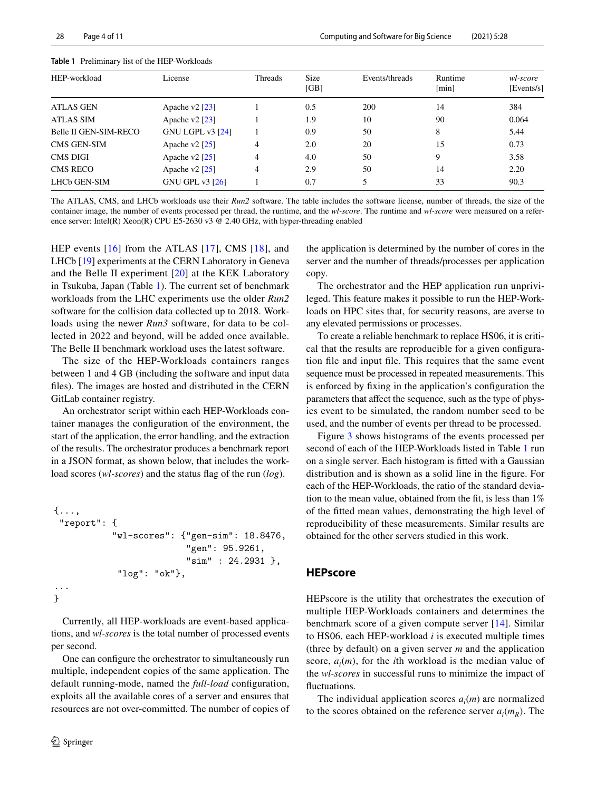| HEP-workload                 | License                 | Threads        | <b>Size</b><br>[GB] | Events/threads | Runtime<br>[min] | wl-score<br>[Events/s] |
|------------------------------|-------------------------|----------------|---------------------|----------------|------------------|------------------------|
| ATLAS GEN                    | Apache v $2$ [23]       |                | 0.5                 | 200            | 14               | 384                    |
| ATLAS SIM                    | Apache v $2$ [23]       |                | 1.9                 | 10             | 90               | 0.064                  |
| <b>Belle II GEN-SIM-RECO</b> | <b>GNU LGPL v3 [24]</b> |                | 0.9                 | 50             | 8                | 5.44                   |
| CMS GEN-SIM                  | Apache v $2$ [25]       | $\overline{4}$ | 2.0                 | 20             | 15               | 0.73                   |
| <b>CMS DIGI</b>              | Apache v $2$ [25]       | 4              | 4.0                 | 50             | 9                | 3.58                   |
| <b>CMS RECO</b>              | Apache v $2$ [25]       | $\overline{4}$ | 2.9                 | 50             | 14               | 2.20                   |
| LHCb GEN-SIM                 | <b>GNU GPL v3 [26]</b>  |                | 0.7                 |                | 33               | 90.3                   |
|                              |                         |                |                     |                |                  |                        |

<span id="page-3-1"></span>**Table 1** Preliminary list of the HEP-Workloads

The ATLAS, CMS, and LHCb workloads use their *Run2* software. The table includes the software license, number of threads, the size of the container image, the number of events processed per thread, the runtime, and the *wl-score*. The runtime and *wl-score* were measured on a reference server: Intel(R) Xeon(R) CPU E5-2630 v3 @ 2.40 GHz, with hyper-threading enabled

HEP events [[16\]](#page-10-12) from the ATLAS [[17](#page-10-13)], CMS [[18](#page-10-14)], and LHCb [[19\]](#page-10-15) experiments at the CERN Laboratory in Geneva and the Belle II experiment [\[20\]](#page-10-16) at the KEK Laboratory in Tsukuba, Japan (Table [1\)](#page-3-1). The current set of benchmark workloads from the LHC experiments use the older *Run2* software for the collision data collected up to 2018. Workloads using the newer *Run3* software, for data to be collected in 2022 and beyond, will be added once available. The Belle II benchmark workload uses the latest software.

The size of the HEP-Workloads containers ranges between 1 and 4 GB (including the software and input data fles). The images are hosted and distributed in the CERN GitLab container registry.

An orchestrator script within each HEP-Workloads container manages the confguration of the environment, the start of the application, the error handling, and the extraction of the results. The orchestrator produces a benchmark report in a JSON format, as shown below, that includes the workload scores (*wl-scores*) and the status fag of the run (*log*).

```
{...,
 "report": {
            "wl-scores": {"gen-sim": 18.8476,
                           "gen": 95.9261,
                           "sim" : 24.2931 },
             "log": "ok"},
...
}
```
Currently, all HEP-workloads are event-based applications, and *wl-scores* is the total number of processed events per second.

One can confgure the orchestrator to simultaneously run multiple, independent copies of the same application. The default running-mode, named the *full-load* confguration, exploits all the available cores of a server and ensures that resources are not over-committed. The number of copies of the application is determined by the number of cores in the server and the number of threads/processes per application copy.

The orchestrator and the HEP application run unprivileged. This feature makes it possible to run the HEP-Workloads on HPC sites that, for security reasons, are averse to any elevated permissions or processes.

To create a reliable benchmark to replace HS06, it is critical that the results are reproducible for a given confguration fle and input fle. This requires that the same event sequence must be processed in repeated measurements. This is enforced by fxing in the application's confguration the parameters that affect the sequence, such as the type of physics event to be simulated, the random number seed to be used, and the number of events per thread to be processed.

Figure [3](#page-4-0) shows histograms of the events processed per second of each of the HEP-Workloads listed in Table [1](#page-3-1) run on a single server. Each histogram is ftted with a Gaussian distribution and is shown as a solid line in the fgure. For each of the HEP-Workloads, the ratio of the standard deviation to the mean value, obtained from the ft, is less than 1% of the ftted mean values, demonstrating the high level of reproducibility of these measurements. Similar results are obtained for the other servers studied in this work.

#### <span id="page-3-0"></span>**HEPscore**

HEPscore is the utility that orchestrates the execution of multiple HEP-Workloads containers and determines the benchmark score of a given compute server [[14\]](#page-10-10). Similar to HS06, each HEP-workload *i* is executed multiple times (three by default) on a given server *m* and the application score,  $a_i(m)$ , for the *i*th workload is the median value of the *wl-scores* in successful runs to minimize the impact of fluctuations.

The individual application scores  $a_i(m)$  are normalized to the scores obtained on the reference server  $a_i(m_R)$ . The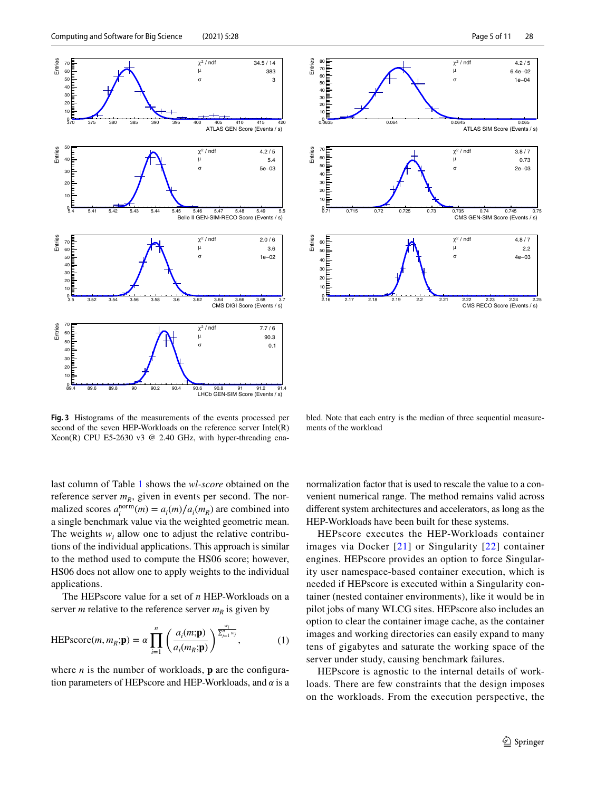



<span id="page-4-0"></span>**Fig. 3** Histograms of the measurements of the events processed per second of the seven HEP-Workloads on the reference server Intel(R) Xeon(R) CPU E5-2630 v3 @ 2.40 GHz, with hyper-threading ena-

bled. Note that each entry is the median of three sequential measurements of the workload

last column of Table [1](#page-3-1) shows the *wl-score* obtained on the reference server  $m_R$ , given in events per second. The normalized scores  $a_i^{\text{norm}}(m) = a_i(m)/a_i(m_R)$  are combined into a single benchmark value via the weighted geometric mean. The weights  $w_i$  allow one to adjust the relative contributions of the individual applications. This approach is similar to the method used to compute the HS06 score; however, HS06 does not allow one to apply weights to the individual applications.

The HEPscore value for a set of *n* HEP-Workloads on a server *m* relative to the reference server  $m_R$  is given by

$$
\text{HEPscore}(m, m_R; \mathbf{p}) = \alpha \prod_{i=1}^n \left( \frac{a_i(m; \mathbf{p})}{a_i(m_R; \mathbf{p})} \right)^{\frac{w_i}{\sum_{j=1}^n w_j}},\tag{1}
$$

where  $n$  is the number of workloads,  $\bf{p}$  are the configuration parameters of HEPscore and HEP-Workloads, and  $\alpha$  is a

normalization factor that is used to rescale the value to a convenient numerical range. The method remains valid across diferent system architectures and accelerators, as long as the HEP-Workloads have been built for these systems.

HEPscore executes the HEP-Workloads container images via Docker [[21\]](#page-10-21) or Singularity [[22](#page-10-22)] container engines. HEPscore provides an option to force Singularity user namespace-based container execution, which is needed if HEPscore is executed within a Singularity container (nested container environments), like it would be in pilot jobs of many WLCG sites. HEPscore also includes an option to clear the container image cache, as the container images and working directories can easily expand to many tens of gigabytes and saturate the working space of the server under study, causing benchmark failures.

HEPscore is agnostic to the internal details of workloads. There are few constraints that the design imposes on the workloads. From the execution perspective, the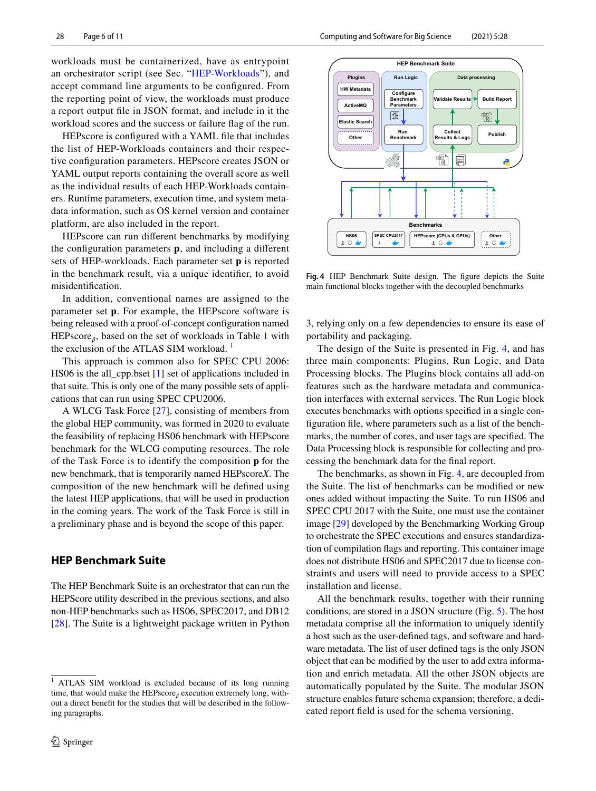workloads must be containerized, have as entrypoint an orchestrator script (see Sec. "[HEP-Workloads"](#page-2-0)), and accept command line arguments to be confgured. From the reporting point of view, the workloads must produce a report output fle in JSON format, and include in it the workload scores and the success or failure fag of the run.

HEPscore is configured with a YAML file that includes the list of HEP-Workloads containers and their respective confguration parameters. HEPscore creates JSON or YAML output reports containing the overall score as well as the individual results of each HEP-Workloads containers. Runtime parameters, execution time, and system metadata information, such as OS kernel version and container platform, are also included in the report.

HEPscore can run diferent benchmarks by modifying the configuration parameters **p**, and including a different sets of HEP-workloads. Each parameter set **p** is reported in the benchmark result, via a unique identifer, to avoid misidentifcation.

In addition, conventional names are assigned to the parameter set p. For example, the HEPscore software is being released with a proof-of-concept confguration named HEPscore<sub>*A*</sub>, based on the set of workloads in Table [1](#page-3-1) with the exclusion of the ATLAS SIM workload.<sup>[1](#page-5-1)</sup>

This approach is common also for SPEC CPU 2006: HS06 is the all cpp.bset  $[1]$  $[1]$  $[1]$  set of applications included in that suite. This is only one of the many possible sets of applications that can run using SPEC CPU2006.

A WLCG Task Force [[27](#page-10-23)], consisting of members from the global HEP community, was formed in 2020 to evaluate the feasibility of replacing HS06 benchmark with HEPscore benchmark for the WLCG computing resources. The role of the Task Force is to identify the composition **p** for the new benchmark, that is temporarily named HEPscore*X*. The composition of the new benchmark will be defned using the latest HEP applications, that will be used in production in the coming years. The work of the Task Force is still in a preliminary phase and is beyond the scope of this paper.

### <span id="page-5-0"></span>**HEP Benchmark Suite**

The HEP Benchmark Suite is an orchestrator that can run the HEPScore utility described in the previous sections, and also non-HEP benchmarks such as HS06, SPEC2017, and DB12 [\[28\]](#page-10-24). The Suite is a lightweight package written in Python



<span id="page-5-2"></span>**Fig. 4** HEP Benchmark Suite design. The fgure depicts the Suite main functional blocks together with the decoupled benchmarks

3, relying only on a few dependencies to ensure its ease of portability and packaging.

The design of the Suite is presented in Fig. [4,](#page-5-2) and has three main components: Plugins, Run Logic, and Data Processing blocks. The Plugins block contains all add-on features such as the hardware metadata and communication interfaces with external services. The Run Logic block executes benchmarks with options specifed in a single confguration fle, where parameters such as a list of the benchmarks, the number of cores, and user tags are specifed. The Data Processing block is responsible for collecting and processing the benchmark data for the fnal report.

The benchmarks, as shown in Fig. [4](#page-5-2), are decoupled from the Suite. The list of benchmarks can be modifed or new ones added without impacting the Suite. To run HS06 and SPEC CPU 2017 with the Suite, one must use the container image [[29\]](#page-10-25) developed by the Benchmarking Working Group to orchestrate the SPEC executions and ensures standardization of compilation fags and reporting. This container image does not distribute HS06 and SPEC2017 due to license constraints and users will need to provide access to a SPEC installation and license.

All the benchmark results, together with their running conditions, are stored in a JSON structure (Fig. [5](#page-6-1)). The host metadata comprise all the information to uniquely identify a host such as the user-defned tags, and software and hardware metadata. The list of user defned tags is the only JSON object that can be modifed by the user to add extra information and enrich metadata. All the other JSON objects are automatically populated by the Suite. The modular JSON structure enables future schema expansion; therefore, a dedicated report feld is used for the schema versioning.

<span id="page-5-1"></span><sup>&</sup>lt;sup>1</sup> ATLAS SIM workload is excluded because of its long running time, that would make the HEPscore<sub>ß</sub> execution extremely long, without a direct beneft for the studies that will be described in the following paragraphs.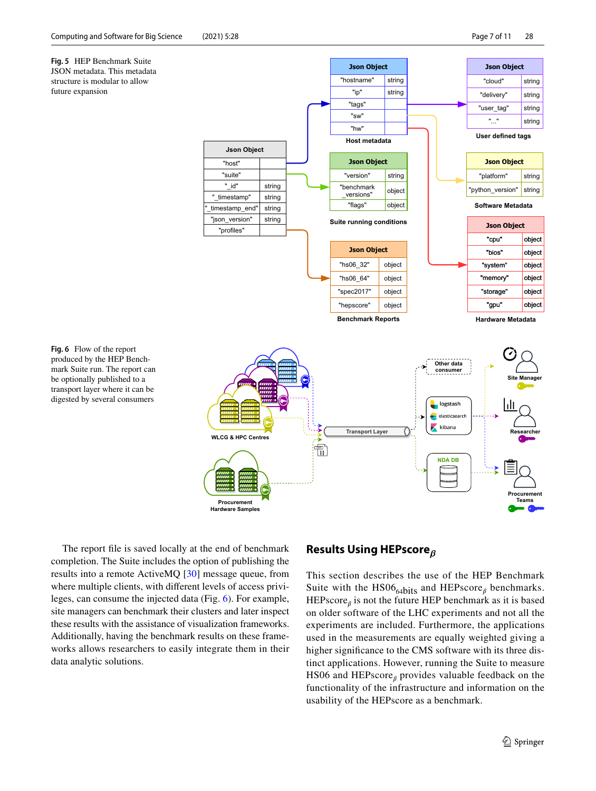<span id="page-6-1"></span>

<span id="page-6-2"></span>The report fle is saved locally at the end of benchmark completion. The Suite includes the option of publishing the results into a remote ActiveMQ [[30\]](#page-10-26) message queue, from where multiple clients, with diferent levels of access privileges, can consume the injected data (Fig. [6\)](#page-6-2). For example, site managers can benchmark their clusters and later inspect these results with the assistance of visualization frameworks. Additionally, having the benchmark results on these frameworks allows researchers to easily integrate them in their data analytic solutions.

#### <span id="page-6-0"></span>**Results Using HEPscore***<sup>ˇ</sup>*

This section describes the use of the HEP Benchmark Suite with the  $HS06_{64bits}$  and  $HEPscore_\beta$  benchmarks.  $HEPscore_{\beta}$  is not the future HEP benchmark as it is based on older software of the LHC experiments and not all the experiments are included. Furthermore, the applications used in the measurements are equally weighted giving a higher signifcance to the CMS software with its three distinct applications. However, running the Suite to measure HS06 and HEPscore $_\beta$  provides valuable feedback on the functionality of the infrastructure and information on the usability of the HEPscore as a benchmark.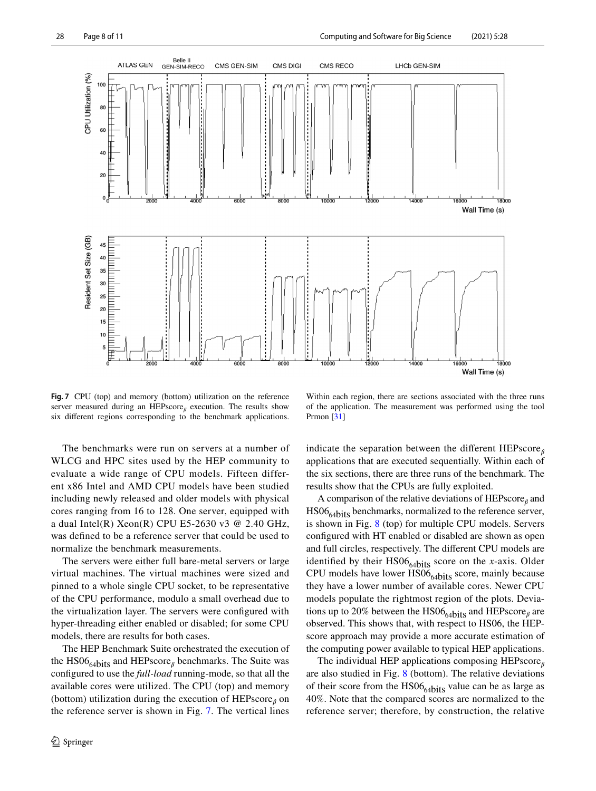

<span id="page-7-0"></span>**Fig. 7** CPU (top) and memory (bottom) utilization on the reference server measured during an HEPscore<sub>ß</sub> execution. The results show six diferent regions corresponding to the benchmark applications.

Within each region, there are sections associated with the three runs of the application. The measurement was performed using the tool Prmon [[31](#page-10-27)]

The benchmarks were run on servers at a number of WLCG and HPC sites used by the HEP community to evaluate a wide range of CPU models. Fifteen different x86 Intel and AMD CPU models have been studied including newly released and older models with physical cores ranging from 16 to 128. One server, equipped with a dual Intel(R) Xeon(R) CPU E5-2630 v3  $@$  2.40 GHz, was defned to be a reference server that could be used to normalize the benchmark measurements.

The servers were either full bare-metal servers or large virtual machines. The virtual machines were sized and pinned to a whole single CPU socket, to be representative of the CPU performance, modulo a small overhead due to the virtualization layer. The servers were confgured with hyper-threading either enabled or disabled; for some CPU models, there are results for both cases.

The HEP Benchmark Suite orchestrated the execution of the  $HS06_{64}$ hits and HEPscore<sub> $\beta$ </sub> benchmarks. The Suite was confgured to use the *full-load* running-mode, so that all the available cores were utilized. The CPU (top) and memory (bottom) utilization during the execution of  $HEPscore_\beta$  on the reference server is shown in Fig. [7](#page-7-0). The vertical lines

indicate the separation between the different  $HEPscore_{\beta}$ applications that are executed sequentially. Within each of the six sections, there are three runs of the benchmark. The results show that the CPUs are fully exploited.

A comparison of the relative deviations of  $HEPscore_\beta$  and  $HSO6_{64}{bits}$  benchmarks, normalized to the reference server, is shown in Fig. [8](#page-8-0) (top) for multiple CPU models. Servers confgured with HT enabled or disabled are shown as open and full circles, respectively. The diferent CPU models are identified by their  $HS06_{64}$ bits score on the *x*-axis. Older CPU models have lower  $\overline{HS06}_{64}$ bits score, mainly because they have a lower number of available cores. Newer CPU models populate the rightmost region of the plots. Deviations up to 20% between the HS06 $_{64}$ bits and HEPscore<sub> $\beta$ </sub> are observed. This shows that, with respect to HS06, the HEPscore approach may provide a more accurate estimation of the computing power available to typical HEP applications.

The individual HEP applications composing HEPscore<sub>*<sup>* $β$ *</sup>*</sub> are also studied in Fig. [8](#page-8-0) (bottom). The relative deviations of their score from the  $HS06_{64}$ bits value can be as large as 40%. Note that the compared scores are normalized to the reference server; therefore, by construction, the relative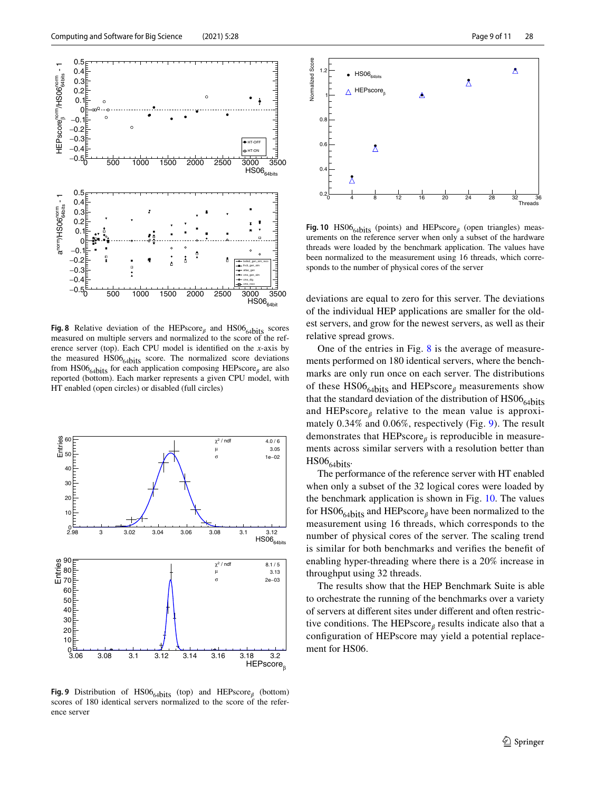

<span id="page-8-0"></span>**Fig. 8** Relative deviation of the HEPscore<sub> $\beta$ </sub> and HS06<sub>64bits</sub> scores measured on multiple servers and normalized to the score of the reference server (top). Each CPU model is identifed on the *x*-axis by the measured  $HSO6_{64}{bits}$  score. The normalized score deviations from HS06<sub>64bits</sub> for each application composing HEPscore<sub> $\beta$ </sub> are also reported (bottom). Each marker represents a given CPU model, with HT enabled (open circles) or disabled (full circles)



<span id="page-8-1"></span>**Fig. 9** Distribution of  $HS06_{64}$ bits (top) and  $HEPscore_{\beta}$  (bottom) scores of 180 identical servers normalized to the score of the reference server



<span id="page-8-2"></span>**Fig. 10**  $HS06_{64bits}$  (points) and  $HEPscore_{\beta}$  (open triangles) measurements on the reference server when only a subset of the hardware threads were loaded by the benchmark application. The values have been normalized to the measurement using 16 threads, which corresponds to the number of physical cores of the server

deviations are equal to zero for this server. The deviations of the individual HEP applications are smaller for the oldest servers, and grow for the newest servers, as well as their relative spread grows.

One of the entries in Fig. [8](#page-8-0) is the average of measurements performed on 180 identical servers, where the benchmarks are only run once on each server. The distributions of these  $HS06_{64}$ <sub>bits</sub> and HEPscore<sub> $\beta$ </sub> measurements show that the standard deviation of the distribution of  $HSO6_{64}$ hits and HEPscore $<sub>\beta</sub>$  relative to the mean value is approxi-</sub> mately 0.34% and 0.06%, respectively (Fig. [9\)](#page-8-1). The result demonstrates that  $HEPscore_\beta$  is reproducible in measurements across similar servers with a resolution better than  $HS06_{64bits}$ 

The performance of the reference server with HT enabled when only a subset of the 32 logical cores were loaded by the benchmark application is shown in Fig. [10.](#page-8-2) The values for  $HS06_{64}$ bits and HEPscore<sub> $\beta$ </sub> have been normalized to the measurement using 16 threads, which corresponds to the number of physical cores of the server. The scaling trend is similar for both benchmarks and verifes the beneft of enabling hyper-threading where there is a 20% increase in throughput using 32 threads.

The results show that the HEP Benchmark Suite is able to orchestrate the running of the benchmarks over a variety of servers at diferent sites under diferent and often restrictive conditions. The HEPscore<sub>*ß*</sub> results indicate also that a confguration of HEPscore may yield a potential replacement for HS06.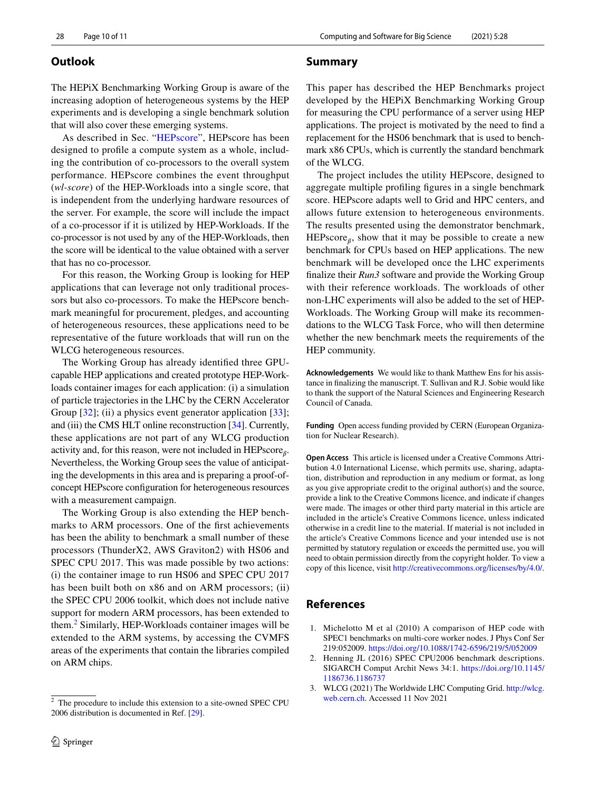## <span id="page-9-3"></span>**Outlook**

The HEPiX Benchmarking Working Group is aware of the increasing adoption of heterogeneous systems by the HEP experiments and is developing a single benchmark solution that will also cover these emerging systems.

As described in Sec. "[HEPscore](#page-3-0)", HEPscore has been designed to profle a compute system as a whole, including the contribution of co-processors to the overall system performance. HEPscore combines the event throughput (*wl-score*) of the HEP-Workloads into a single score, that is independent from the underlying hardware resources of the server. For example, the score will include the impact of a co-processor if it is utilized by HEP-Workloads. If the co-processor is not used by any of the HEP-Workloads, then the score will be identical to the value obtained with a server that has no co-processor.

For this reason, the Working Group is looking for HEP applications that can leverage not only traditional processors but also co-processors. To make the HEPscore benchmark meaningful for procurement, pledges, and accounting of heterogeneous resources, these applications need to be representative of the future workloads that will run on the WLCG heterogeneous resources.

The Working Group has already identifed three GPUcapable HEP applications and created prototype HEP-Workloads container images for each application: (i) a simulation of particle trajectories in the LHC by the CERN Accelerator Group [[32\]](#page-10-28); (ii) a physics event generator application [[33\]](#page-10-29); and (iii) the CMS HLT online reconstruction [[34](#page-10-30)]. Currently, these applications are not part of any WLCG production activity and, for this reason, were not included in HEPscore<sub> $\alpha$ </sub>. Nevertheless, the Working Group sees the value of anticipating the developments in this area and is preparing a proof-ofconcept HEPscore confguration for heterogeneous resources with a measurement campaign.

The Working Group is also extending the HEP benchmarks to ARM processors. One of the frst achievements has been the ability to benchmark a small number of these processors (ThunderX2, AWS Graviton2) with HS06 and SPEC CPU 2017. This was made possible by two actions: (i) the container image to run HS06 and SPEC CPU 2017 has been built both on x86 and on ARM processors; (ii) the SPEC CPU 2006 toolkit, which does not include native support for modern ARM processors, has been extended to them.[2](#page-9-4) Similarly, HEP-Workloads container images will be extended to the ARM systems, by accessing the CVMFS areas of the experiments that contain the libraries compiled on ARM chips.

### **Summary**

This paper has described the HEP Benchmarks project developed by the HEPiX Benchmarking Working Group for measuring the CPU performance of a server using HEP applications. The project is motivated by the need to fnd a replacement for the HS06 benchmark that is used to benchmark x86 CPUs, which is currently the standard benchmark of the WLCG.

The project includes the utility HEPscore, designed to aggregate multiple profling fgures in a single benchmark score. HEPscore adapts well to Grid and HPC centers, and allows future extension to heterogeneous environments. The results presented using the demonstrator benchmark, HEPscore $_{\beta}$ , show that it may be possible to create a new benchmark for CPUs based on HEP applications. The new benchmark will be developed once the LHC experiments fnalize their *Run3* software and provide the Working Group with their reference workloads. The workloads of other non-LHC experiments will also be added to the set of HEP-Workloads. The Working Group will make its recommendations to the WLCG Task Force, who will then determine whether the new benchmark meets the requirements of the HEP community.

**Acknowledgements** We would like to thank Matthew Ens for his assistance in fnalizing the manuscript. T. Sullivan and R.J. Sobie would like to thank the support of the Natural Sciences and Engineering Research Council of Canada.

**Funding** Open access funding provided by CERN (European Organization for Nuclear Research).

**Open Access** This article is licensed under a Creative Commons Attribution 4.0 International License, which permits use, sharing, adaptation, distribution and reproduction in any medium or format, as long as you give appropriate credit to the original author(s) and the source, provide a link to the Creative Commons licence, and indicate if changes were made. The images or other third party material in this article are included in the article's Creative Commons licence, unless indicated otherwise in a credit line to the material. If material is not included in the article's Creative Commons licence and your intended use is not permitted by statutory regulation or exceeds the permitted use, you will need to obtain permission directly from the copyright holder. To view a copy of this licence, visit<http://creativecommons.org/licenses/by/4.0/>.

# **References**

- <span id="page-9-0"></span>1. Michelotto M et al (2010) A comparison of HEP code with SPEC1 benchmarks on multi-core worker nodes. J Phys Conf Ser 219:052009.<https://doi.org/10.1088/1742-6596/219/5/052009>
- <span id="page-9-1"></span>2. Henning JL (2016) SPEC CPU2006 benchmark descriptions. SIGARCH Comput Archit News 34:1. [https://doi.org/10.1145/](https://doi.org/10.1145/1186736.1186737) [1186736.1186737](https://doi.org/10.1145/1186736.1186737)
- <span id="page-9-2"></span>3. WLCG (2021) The Worldwide LHC Computing Grid. [http://wlcg.](http://wlcg.web.cern.ch)

<span id="page-9-4"></span>The procedure to include this extension to a site-owned SPEC CPU [web.cern.ch.](http://wlcg.web.cern.ch) Accessed 11 Nov 2021 2006 distribution is documented in Ref. [\[29\]](#page-10-25).